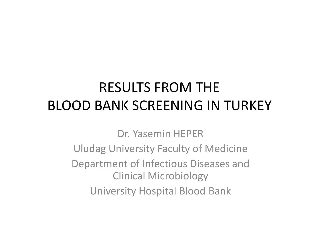#### RESULTS FROM THE BLOOD BANK SCREENING IN TURKEY

Dr. Yasemin HEPERUludag University Faculty of Medicine Department of Infectious Diseases and Clinical Microbiology University Hospital Blood Bank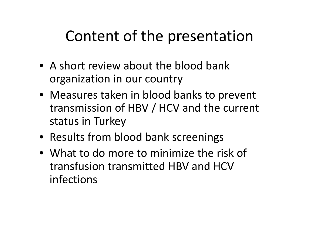# Content of the presentation

- A short review about the blood bank organization in our country
- Measures taken in blood banks to prevent transmission of HBV / HCV and the current status in Turkey
- Results from blood bank screenings
- What to do more to minimize the risk of transfusion transmitted HBV and HCV infections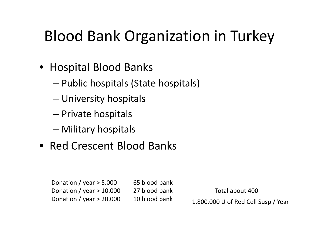# Blood Bank Organization in Turkey

- Hospital Blood Banks
	- –Public hospitals (State hospitals)
	- –University hospitals
	- Private hospitals
	- –Military hospitals
- Red Crescent Blood Banks

Donation / year <sup>&</sup>gt; 5.000 65 blood bank Donation / year > 10.000 27 blood bank Total about 400 Donation / year  $> 20.000$  10 blood bank

U of Red Cell Susp / Year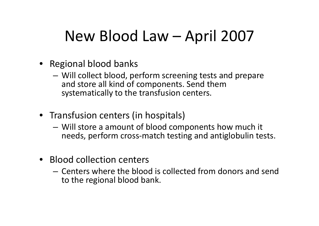# New Blood Law – April 2007

- Regional blood banks
	- Will collect blood, perform screening tests and prepare and store all kind of components. Send them systematically to the transfusion centers.
- Transfusion centers (in hospitals)
	- – Will store <sup>a</sup> amount of blood components how much it needs, perform cross‐match testing and antiglobulin tests.
- Blood collection centers
	- Centers where the blood is collected from donors and send to the regional blood bank.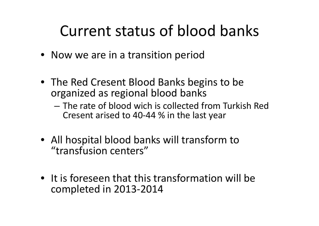### Current status of blood banks

- Now we are in a transition period
- The Red Cresent Blood Banks begins to be organized as regional blood banks
	- The rate of blood wich is collected from Turkish Red Cresent arised to 40 ‐44 % in the last year
- All hospital blood banks will transform to "transfusion centers"
- It is foreseen that this transformation will be completed in 2013 ‐2014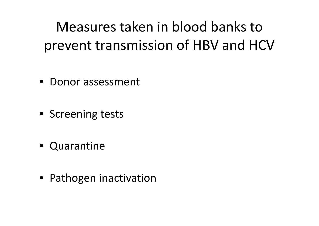Measures taken in blood banks toprevent transmission of HBV and HCV

- Donor assessment
- Screening tests
- Quarantine
- Pathogen inactivation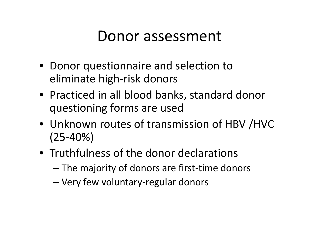#### Donor assessment

- Donor questionnaire and selection to eliminate high ‐risk donors
- Practiced in all blood banks, standard donor questioning forms are used
- Unknown routes of transmission of HBV /HVC (25 ‐40%)
- Truthfulness of the donor declarations
	- $-$  The majority of donors are first-time donors
	- –Very few voluntary ‐regular donors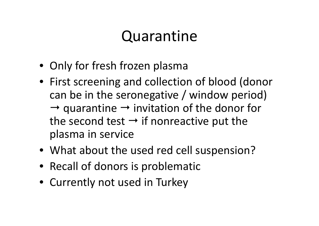### Quarantine

- Only for fresh frozen plasma
- First screening and collection of blood (donor can be in the seronegative / window period)  $\rightarrow$  quarantine  $\rightarrow$  invitation of the donor for the second test  $\rightarrow$  if nonreactive put the plasma in service
- What about the used red cell suspension?
- Recall of donors is problematic
- Currently not used in Turkey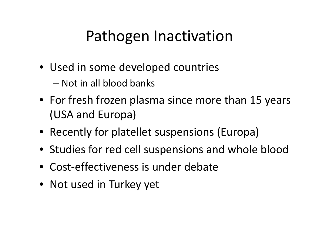# Pathogen Inactivation

- Used in some developed countries – Not in all blood banks
- For fresh frozen plasma since more than 15 years (USA and Europa)
- Recently for platellet suspensions (Europa)
- Studies for red cell suspensions and whole blood
- Cost ‐effectiveness is under debate
- Not used in Turkey yet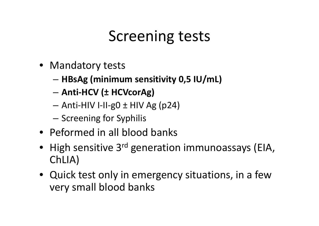# Screening tests

- Mandatory tests
	- –**HBsAg (minimum sensitivity 0,5 IU/mL)**
	- **Anti ‐HCV (± HCVcorAg)**
	- Anti ‐HIV I‐II ‐g0 <sup>±</sup> HIV Ag (p24)
	- – $-$  Screening for Syphilis
- Peformed in all blood banks
- High sensitive 3<sup>rd</sup> generation immunoassays (EIA, ChLIA)
- Quick test only in emergency situations, in a few very small blood banks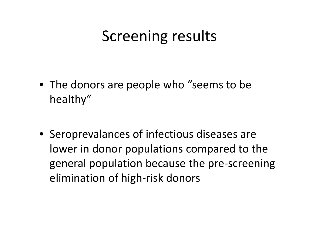### Screening results

• The donors are people who "seems to be healthy"

• Seroprevalances of infectious diseases are lower in donor populations compared to the general population because the pre ‐screening elimination of high ‐risk donors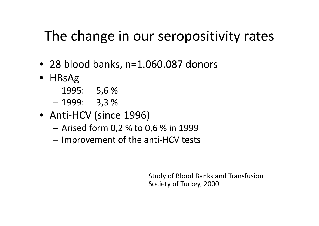#### The change in our seropositivity rates

- 28 blood banks, n=1.060.087 donors
- HBsAg
	- –1995: 5,6 %
	- –1999: 3,3 %
- Anti-HCV (since 1996)
	- Arised form 0,2 % to 0,6 % in 1999
	- – $-$  Improvement of the anti-HCV tests

Study of Blood Banks and Transfusion Society of Turkey, 2000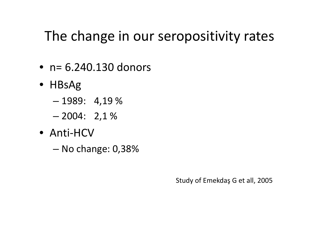#### The change in our seropositivity rates

- n= 6.240.130 donors
- HBsAg
	- –1989: 4,19 %
	- –2004: 2,1 %
- Anti‐HCV
	- –No change: 0,38%

Study of Emekdaş G et all, 2005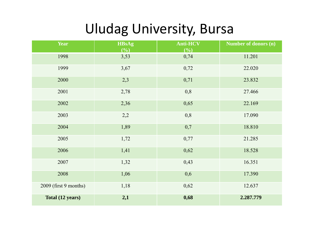#### Uludag University, Bursa

| Year                  | <b>HBsAg</b><br>(9/0) | <b>Anti-HCV</b><br>(9/0) | Number of donors (n) |
|-----------------------|-----------------------|--------------------------|----------------------|
| 1998                  | 3,53                  | 0,74                     | 11.201               |
| 1999                  | 3,67                  | 0,72                     | 22.020               |
| 2000                  | 2,3                   | 0,71                     | 23.832               |
| 2001                  | 2,78                  | 0,8                      | 27.466               |
| 2002                  | 2,36                  | 0,65                     | 22.169               |
| 2003                  | 2,2                   | 0,8                      | 17.090               |
| 2004                  | 1,89                  | 0,7                      | 18.810               |
| 2005                  | 1,72                  | 0,77                     | 21.285               |
| 2006                  | 1,41                  | 0,62                     | 18.528               |
| 2007                  | 1,32                  | 0,43                     | 16.351               |
| 2008                  | 1,06                  | 0,6                      | 17.390               |
| 2009 (first 9 months) | 1,18                  | 0,62                     | 12.637               |
| Total (12 years)      | 2,1                   | 0,68                     | 2.287.779            |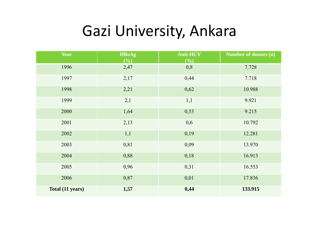### Gazi University, Ankara

| <b>Year</b>      | <b>HBsAg</b><br>(%) | $\overline{\text{Anti-HCV}}$<br>(9/0) | Number of donors (n) |
|------------------|---------------------|---------------------------------------|----------------------|
| 1996             | 2,47                | 0,8                                   | 7.728                |
| 1997             | 2,17                | 0,44                                  | 7.718                |
| 1998             | 2,21                | 0,62                                  | 10.988               |
| 1999             | 2,1                 | 1,1                                   | 9.921                |
| 2000             | 1,64                | 0,53                                  | 9.215                |
| 2001             | 2,13                | 0,6                                   | 10.792               |
| 2002             | 1,1                 | 0,19                                  | 12.281               |
| 2003             | 0,81                | 0,09                                  | 13.970               |
| 2004             | 0,88                | 0,18                                  | 16.913               |
| 2005             | 0,96                | 0,31                                  | 16.553               |
| 2006             | 0,87                | 0,01                                  | 17.836               |
| Total (11 years) | 1,57                | 0,44                                  | 133.915              |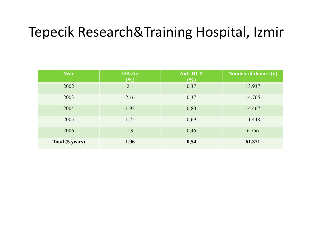#### Tepecik Research&Training Hospital, Izmir

| <b>Year</b>     | <b>HBsAg</b><br>(%) | <b>Anti-HCV</b><br>(9/0) | Number of donors (n) |
|-----------------|---------------------|--------------------------|----------------------|
| 2002            | 2,1                 | 0,37                     | 13.937               |
| 2003            | 2,16                | 0,37                     | 14.765               |
| 2004            | 1,92                | 0,80                     | 14.467               |
| 2005            | 1,75                | 0,69                     | 11.448               |
| 2006            | 1,9                 | 0,46                     | 6.756                |
| Total (5 years) | 1,96                | 0,54                     | 61.371               |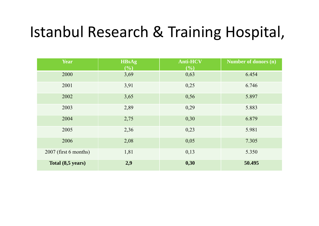### Istanbul Research & Training Hospital,

| Year                  | <b>HBsAg</b><br>(9/0) | <b>Anti-HCV</b><br>(9/0) | Number of donors (n) |
|-----------------------|-----------------------|--------------------------|----------------------|
| 2000                  | 3,69                  | 0,63                     | 6.454                |
| 2001                  | 3,91                  | 0,25                     | 6.746                |
| 2002                  | 3,65                  | 0,56                     | 5.897                |
| 2003                  | 2,89                  | 0,29                     | 5.883                |
| 2004                  | 2,75                  | 0,30                     | 6.879                |
| 2005                  | 2,36                  | 0,23                     | 5.981                |
| 2006                  | 2,08                  | 0,05                     | 7.305                |
| 2007 (first 6 months) | 1,81                  | 0,13                     | 5.350                |
| Total (8,5 years)     | 2,9                   | 0,30                     | 50.495               |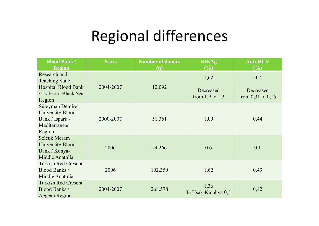### Regional differences

| <b>Blood Bank /</b><br><b>Region</b>                                               | <b>Years</b> | <b>Number of donors</b><br>(n) | <b>HBsAg</b><br>(%)              | <b>Anti-HCV</b><br>(%)             |
|------------------------------------------------------------------------------------|--------------|--------------------------------|----------------------------------|------------------------------------|
| Research and<br><b>Teaching State</b>                                              |              |                                | 1,62                             | 0,2                                |
| <b>Hospital Blood Bank</b><br>/ Trabzon- Black Sea<br>Region                       | 2004-2007    | 12.092                         | Decreased<br>from $1,9$ to $1,2$ | Decreased<br>from $0,31$ to $0,15$ |
| Süleyman Demirel<br>University Blood<br>Bank / Isparta-<br>Mediterranean<br>Region | 2000-2007    | 51.361                         | 1,09                             | 0,44                               |
| Selçuk Meram<br><b>University Blood</b><br>Bank / Konya-<br>Middle Anatolia        | 2006         | 54.266                         | 0,6                              | 0,1                                |
| <b>Turkish Red Cresent</b><br><b>Blood Banks /</b><br>Middle Anatolia              | 2006         | 102.359                        | 1,62                             | 0,49                               |
| <b>Turkish Red Cresent</b><br><b>Blood Banks /</b><br>Aegean Region                | 2004-2007    | 268.578                        | 1,36<br>In Uşak-Kütahya 0,5      | 0,42                               |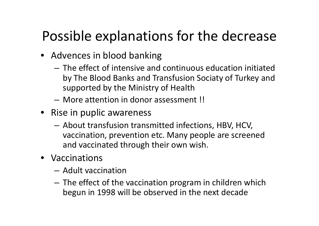#### Possible explanations for the decrease

- Advences in blood banking
	- The effect of intensive and continuous education initiated by The Blood Banks and Transfusion Sociaty of Turkey and supported by the Ministry of Health
	- More attention in donor assessment !!
- Rise in puplic awareness
	- – $-$  About transfusion transmitted infections, HBV, HCV, vaccination, prevention etc. Many people are screened and vaccinated through their own wish.
- Vaccinations
	- Adult vaccination
	- The effect of the vaccination program in children which begun in 1998 will be observed in the next decade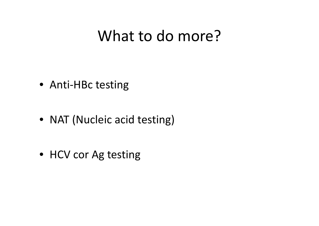### What to do more?

• Anti‐HBc testing

• NAT (Nucleic acid testing)

• HCV cor Ag testing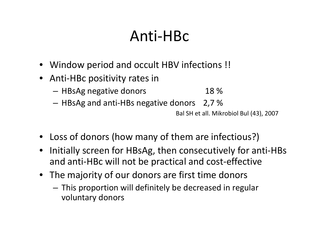# Anti‐HBc

- Window period and occult HBV infections !!
- • Anti‐HBc positivity rates in
	- $-$  HBsAg negative donors  $\hphantom{1}$  18 %
	- $-$  HBsAg and anti-HBs negative donors  $-$  2,7 %  $\,$

Bal SH et all. Mikrobiol Bul (43), 2007

- Loss of donors (how many of them are infectious?)
- • Initially screen for HBsAg, then consecutively for anti‐HBs and anti‐HBc will not be practical and cost‐effective
- The majority of our donors are first time donors
	- This proportion will definitely be decreased in regular voluntary donors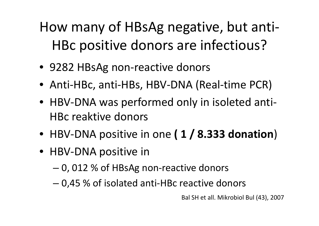# How many of HBsAg negative, but anti‐ HBc positive donors are infectious?

- 9282 HBsAg non‐reactive donors
- Anti‐HBc, anti‐HBs, HBV‐DNA (Real‐time PCR)
- HBV‐DNA was performed only in isoleted anti‐ HBc reaktive donors
- HBV‐DNA positive in one **( 1 / 8.333 donation**)
- HBV‐DNA positive in
	- –0, 012 % of HBsAg non‐reactive donors
	- –0,45 % of isolated anti‐HBc reactive donors

Bal SH et all. Mikrobiol Bul (43), 2007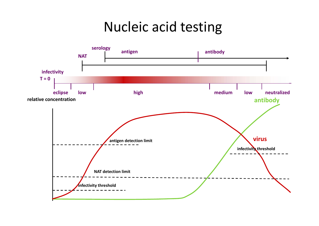#### Nucleic acid testing

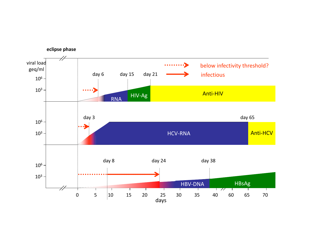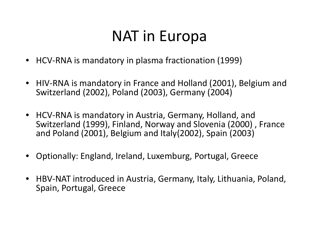# NAT in Europa

- HCV‐RNA is mandatory in plasma fractionation (1999)
- HIV‐RNA is mandatory in France and Holland (2001), Belgium and Switzerland (2002), Poland (2003), Germany (2004)
- HCV‐RNA is mandatory in Austria, Germany, Holland, and Switzerland (1999), Finland, Norway and Slovenia (2000) , France and Poland (2001), Belgium and Italy(2002), Spain (2003)
- •Optionally: England, Ireland, Luxemburg, Portugal, Greece
- HBV‐NAT introduced in Austria, Germany, Italy, Lithuania, Poland, Spain, Portugal, Greece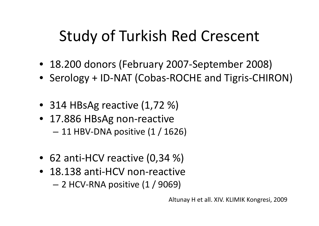# Study of Turkish Red Crescent

- 18.200 donors (February 2007‐September 2008)
- Serology <sup>+</sup> ID‐NAT (Cobas‐ROCHE and Tigris‐CHIRON)
- 314 HBsAg reactive (1,72 %)
- 17.886 HBsAg non‐reactive – 11 HBV‐DNA positive (1 / 1626)
- 62 anti‐HCV reactive (0,34 %)
- 18.138 anti‐HCV non‐reactive
	- 2 HCV‐RNA positive (1 / 9069)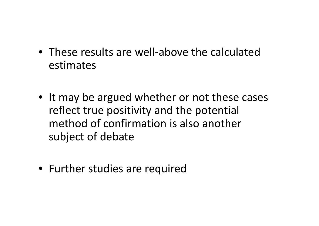- These results are well‐above the calculatedestimates
- It may be argued whether or not these cases reflect true positivity and the potential method of confirmation is also another subject of debate
- Further studies are required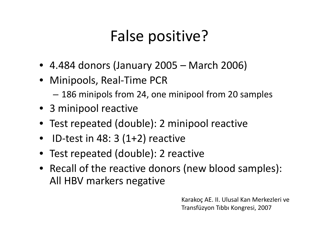# False positive?

- 4.484 donors (January 2005 March 2006)
- Minipools, Real-Time PCR
	- –186 minipols from 24, one minipool from 20 samples
- 3 minipool reactive
- Test repeated (double): 2 minipool reactive
- • $\bullet$  ID-test in 48: 3 (1+2) reactive
- Test repeated (double): 2 reactive
- Recall of the reactive donors (new blood samples): All HBV markers negative

Karakoç AE. II. Ulusal Kan Merkezleri ve Transfüzyon Tıbbı Kongresi, 2007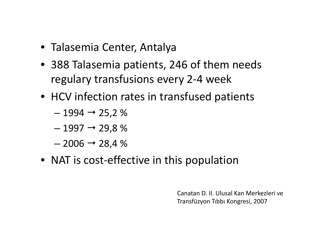- Talasemia Center, Antalya
- 388 Talasemia patients, 246 of them needs regulary transfusions every 2‐4 week
- HCV infection rates in transfused patients
	- $-$  1994  $\rightarrow$  25,2 %
	- $-$  1997  $\rightarrow$  29,8 %
	- $-$  2006  $\rightarrow$  28,4 %
- NAT is cost-effective in this population

Canatan D. II. Ulusal Kan Merkezleri ve Transfüzyon Tıbbı Kongresi, 2007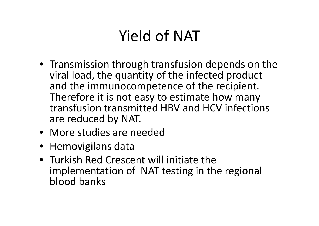# Yield of NAT

- Transmission through transfusion depends on the viral load, the quantity of the infected product and the immunocompetence of the recipient. Therefore it is not easy to estimate how many transfusion transmitted HBV and HCV infections are reduced by NAT.
- More studies are needed
- Hemovigilans data
- Turkish Red Crescent will initiate theimplementation of NAT testing in the regional blood banks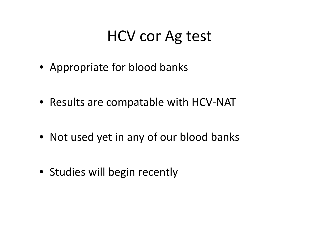### HCV cor Ag test

• Appropriate for blood banks

• Results are compatable with HCV‐NAT

• Not used yet in any of our blood banks

• Studies will begin recently